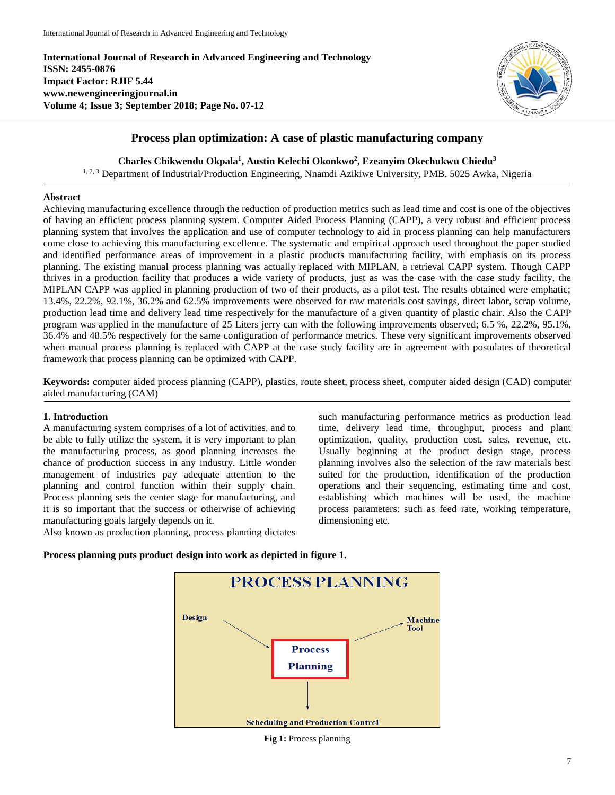**International Journal of Research in Advanced Engineering and Technology ISSN: 2455-0876 Impact Factor: RJIF 5.44 www.newengineeringjournal.in Volume 4; Issue 3; September 2018; Page No. 07-12**



# **Process plan optimization: A case of plastic manufacturing company**

**Charles Chikwendu Okpala<sup>1</sup> , Austin Kelechi Okonkwo<sup>2</sup> , Ezeanyim Okechukwu Chiedu<sup>3</sup>**

<sup>1, 2, 3</sup> Department of Industrial/Production Engineering, Nnamdi Azikiwe University, PMB. 5025 Awka, Nigeria

### **Abstract**

Achieving manufacturing excellence through the reduction of production metrics such as lead time and cost is one of the objectives of having an efficient process planning system. Computer Aided Process Planning (CAPP), a very robust and efficient process planning system that involves the application and use of computer technology to aid in process planning can help manufacturers come close to achieving this manufacturing excellence. The systematic and empirical approach used throughout the paper studied and identified performance areas of improvement in a plastic products manufacturing facility, with emphasis on its process planning. The existing manual process planning was actually replaced with MIPLAN, a retrieval CAPP system. Though CAPP thrives in a production facility that produces a wide variety of products, just as was the case with the case study facility, the MIPLAN CAPP was applied in planning production of two of their products, as a pilot test. The results obtained were emphatic; 13.4%, 22.2%, 92.1%, 36.2% and 62.5% improvements were observed for raw materials cost savings, direct labor, scrap volume, production lead time and delivery lead time respectively for the manufacture of a given quantity of plastic chair. Also the CAPP program was applied in the manufacture of 25 Liters jerry can with the following improvements observed; 6.5 %, 22.2%, 95.1%, 36.4% and 48.5% respectively for the same configuration of performance metrics. These very significant improvements observed when manual process planning is replaced with CAPP at the case study facility are in agreement with postulates of theoretical framework that process planning can be optimized with CAPP.

**Keywords:** computer aided process planning (CAPP), plastics, route sheet, process sheet, computer aided design (CAD) computer aided manufacturing (CAM)

## **1. Introduction**

A manufacturing system comprises of a lot of activities, and to be able to fully utilize the system, it is very important to plan the manufacturing process, as good planning increases the chance of production success in any industry. Little wonder management of industries pay adequate attention to the planning and control function within their supply chain. Process planning sets the center stage for manufacturing, and it is so important that the success or otherwise of achieving manufacturing goals largely depends on it.

Also known as production planning, process planning dictates

such manufacturing performance metrics as production lead time, delivery lead time, throughput, process and plant optimization, quality, production cost, sales, revenue, etc. Usually beginning at the product design stage, process planning involves also the selection of the raw materials best suited for the production, identification of the production operations and their sequencing, estimating time and cost, establishing which machines will be used, the machine process parameters: such as feed rate, working temperature, dimensioning etc.





**Fig 1:** Process planning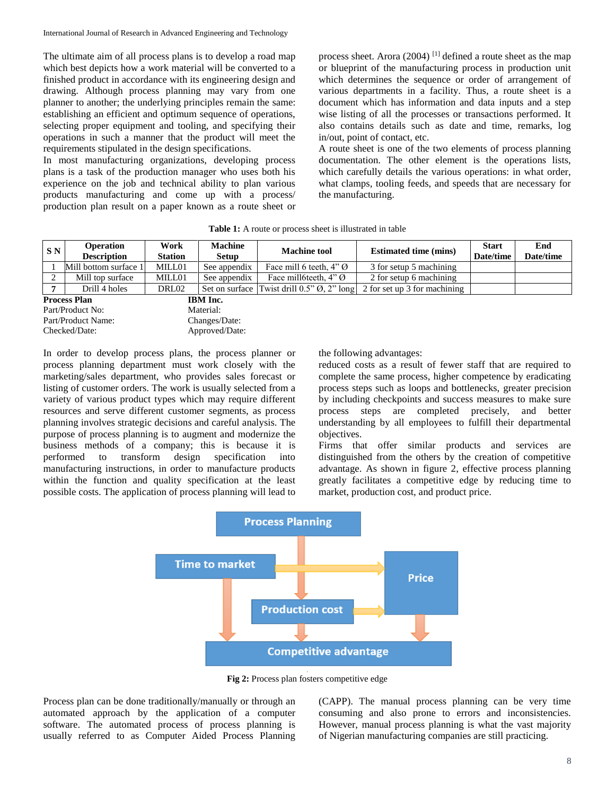The ultimate aim of all process plans is to develop a road map which best depicts how a work material will be converted to a finished product in accordance with its engineering design and drawing. Although process planning may vary from one planner to another; the underlying principles remain the same: establishing an efficient and optimum sequence of operations, selecting proper equipment and tooling, and specifying their operations in such a manner that the product will meet the requirements stipulated in the design specifications.

In most manufacturing organizations, developing process plans is a task of the production manager who uses both his experience on the job and technical ability to plan various products manufacturing and come up with a process/ production plan result on a paper known as a route sheet or

process sheet. Arora (2004) [1] defined a route sheet as the map or blueprint of the manufacturing process in production unit which determines the sequence or order of arrangement of various departments in a facility. Thus, a route sheet is a document which has information and data inputs and a step wise listing of all the processes or transactions performed. It also contains details such as date and time, remarks, log in/out, point of contact, etc.

A route sheet is one of the two elements of process planning documentation. The other element is the operations lists, which carefully details the various operations: in what order, what clamps, tooling feeds, and speeds that are necessary for the manufacturing.

| <b>Table 1:</b> A route or process sheet is illustrated in table |  |
|------------------------------------------------------------------|--|
|------------------------------------------------------------------|--|

| S N                                    | <b>Operation</b>      | Work           | <b>Machine</b> | <b>Machine tool</b>                 | <b>Estimated time (mins)</b>                                             | <b>Start</b> | End       |
|----------------------------------------|-----------------------|----------------|----------------|-------------------------------------|--------------------------------------------------------------------------|--------------|-----------|
|                                        | <b>Description</b>    | <b>Station</b> | <b>Setup</b>   |                                     |                                                                          | Date/time    | Date/time |
|                                        | Mill bottom surface 1 | MILL01         | See appendix   | Face mill 6 teeth, $4"$ $\emptyset$ | 3 for setup 5 machining                                                  |              |           |
|                                        | Mill top surface      | MILL01         | See appendix   | Face mill6teeth, $4"$ $\emptyset$   | 2 for setup 6 machining                                                  |              |           |
|                                        | Drill 4 holes         | DRL02          | Set on surface |                                     | Twist drill $0.5$ " $\varnothing$ , 2" long 2 for set up 3 for machining |              |           |
| <b>Process Plan</b><br><b>IBM</b> Inc. |                       |                |                |                                     |                                                                          |              |           |
| Material:<br>Part/Product No:          |                       |                |                |                                     |                                                                          |              |           |
|                                        | Part/Product Name:    |                | Changes/Date:  |                                     |                                                                          |              |           |

Checked/Date: Approved/Date:

In order to develop process plans, the process planner or process planning department must work closely with the marketing/sales department, who provides sales forecast or listing of customer orders. The work is usually selected from a variety of various product types which may require different resources and serve different customer segments, as process planning involves strategic decisions and careful analysis. The purpose of process planning is to augment and modernize the business methods of a company; this is because it is performed to transform design specification into manufacturing instructions, in order to manufacture products within the function and quality specification at the least possible costs. The application of process planning will lead to the following advantages:

reduced costs as a result of fewer staff that are required to complete the same process, higher competence by eradicating process steps such as loops and bottlenecks, greater precision by including checkpoints and success measures to make sure process steps are completed precisely, and better understanding by all employees to fulfill their departmental objectives.

Firms that offer similar products and services are distinguished from the others by the creation of competitive advantage. As shown in figure 2, effective process planning greatly facilitates a competitive edge by reducing time to market, production cost, and product price.



**Fig 2:** Process plan fosters competitive edge

Process plan can be done traditionally/manually or through an automated approach by the application of a computer software. The automated process of process planning is usually referred to as Computer Aided Process Planning

(CAPP). The manual process planning can be very time consuming and also prone to errors and inconsistencies. However, manual process planning is what the vast majority of Nigerian manufacturing companies are still practicing.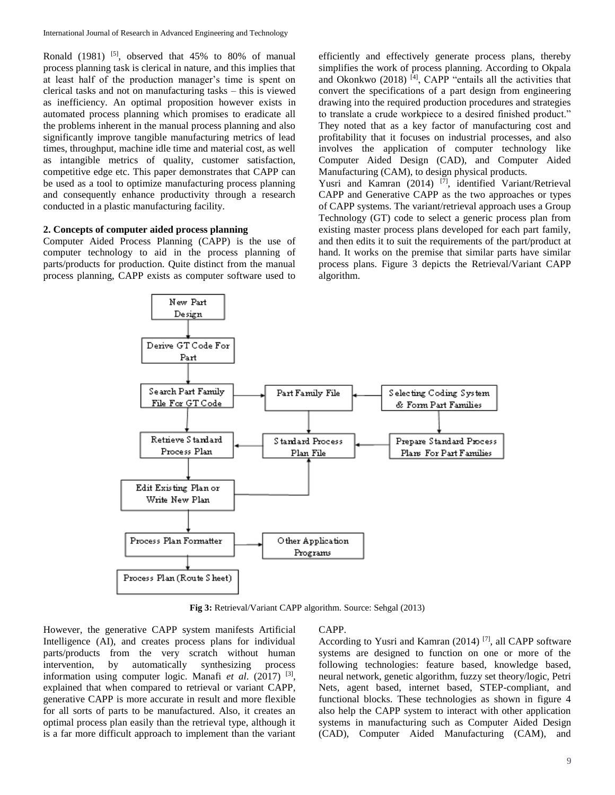Ronald (1981) <sup>[5]</sup>, observed that  $45\%$  to 80% of manual process planning task is clerical in nature, and this implies that at least half of the production manager's time is spent on clerical tasks and not on manufacturing tasks – this is viewed as inefficiency. An optimal proposition however exists in automated process planning which promises to eradicate all the problems inherent in the manual process planning and also significantly improve tangible manufacturing metrics of lead times, throughput, machine idle time and material cost, as well as intangible metrics of quality, customer satisfaction, competitive edge etc. This paper demonstrates that CAPP can be used as a tool to optimize manufacturing process planning and consequently enhance productivity through a research conducted in a plastic manufacturing facility.

#### **2. Concepts of computer aided process planning**

Computer Aided Process Planning (CAPP) is the use of computer technology to aid in the process planning of parts/products for production. Quite distinct from the manual process planning, CAPP exists as computer software used to efficiently and effectively generate process plans, thereby simplifies the work of process planning. According to Okpala and Okonkwo (2018) <sup>[4]</sup>, CAPP "entails all the activities that convert the specifications of a part design from engineering drawing into the required production procedures and strategies to translate a crude workpiece to a desired finished product." They noted that as a key factor of manufacturing cost and profitability that it focuses on industrial processes, and also involves the application of computer technology like Computer Aided Design (CAD), and Computer Aided Manufacturing (CAM), to design physical products.

Yusri and Kamran  $(2014)$ <sup>[7]</sup>, identified Variant/Retrieval CAPP and Generative CAPP as the two approaches or types of CAPP systems. The variant/retrieval approach uses a Group Technology (GT) code to select a generic process plan from existing master process plans developed for each part family, and then edits it to suit the requirements of the part/product at hand. It works on the premise that similar parts have similar process plans. Figure 3 depicts the Retrieval/Variant CAPP algorithm.



**Fig 3:** Retrieval/Variant CAPP algorithm. Source: Sehgal (2013)

However, the generative CAPP system manifests Artificial Intelligence (AI), and creates process plans for individual parts/products from the very scratch without human intervention, by automatically synthesizing process information using computer logic. Manafi et al. (2017)<sup>[3]</sup>, explained that when compared to retrieval or variant CAPP, generative CAPP is more accurate in result and more flexible for all sorts of parts to be manufactured. Also, it creates an optimal process plan easily than the retrieval type, although it is a far more difficult approach to implement than the variant

#### CAPP.

According to Yusri and Kamran (2014) [7], all CAPP software systems are designed to function on one or more of the following technologies: feature based, knowledge based, neural network, genetic algorithm, fuzzy set theory/logic, Petri Nets, agent based, internet based, STEP-compliant, and functional blocks. These technologies as shown in figure 4 also help the CAPP system to interact with other application systems in manufacturing such as Computer Aided Design (CAD), Computer Aided Manufacturing (CAM), and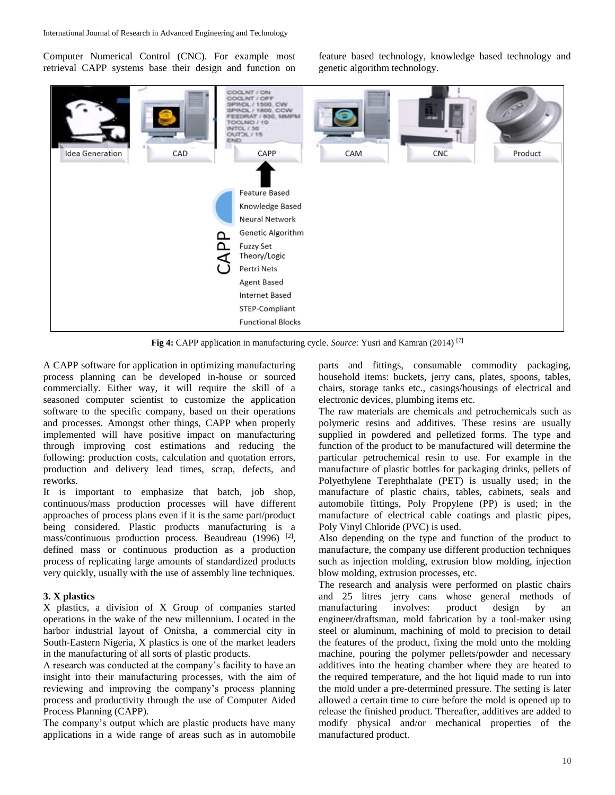Computer Numerical Control (CNC). For example most retrieval CAPP systems base their design and function on feature based technology, knowledge based technology and genetic algorithm technology.



**Fig 4:** CAPP application in manufacturing cycle. *Source*: Yusri and Kamran (2014) [7]

A CAPP software for application in optimizing manufacturing process planning can be developed in-house or sourced commercially. Either way, it will require the skill of a seasoned computer scientist to customize the application software to the specific company, based on their operations and processes. Amongst other things, CAPP when properly implemented will have positive impact on manufacturing through improving cost estimations and reducing the following: production costs, calculation and quotation errors, production and delivery lead times, scrap, defects, and reworks.

It is important to emphasize that batch, job shop, continuous/mass production processes will have different approaches of process plans even if it is the same part/product being considered. Plastic products manufacturing is a mass/continuous production process. Beaudreau (1996) <sup>[2]</sup>, defined mass or continuous production as a production process of replicating large amounts of standardized products very quickly, usually with the use of assembly line techniques.

#### **3. X plastics**

X plastics, a division of X Group of companies started operations in the wake of the new millennium. Located in the harbor industrial layout of Onitsha, a commercial city in South-Eastern Nigeria, X plastics is one of the market leaders in the manufacturing of all sorts of plastic products.

A research was conducted at the company's facility to have an insight into their manufacturing processes, with the aim of reviewing and improving the company's process planning process and productivity through the use of Computer Aided Process Planning (CAPP).

The company's output which are plastic products have many applications in a wide range of areas such as in automobile

parts and fittings, consumable commodity packaging, household items: buckets, jerry cans, plates, spoons, tables, chairs, storage tanks etc., casings/housings of electrical and electronic devices, plumbing items etc.

The raw materials are chemicals and petrochemicals such as polymeric resins and additives. These resins are usually supplied in powdered and pelletized forms. The type and function of the product to be manufactured will determine the particular petrochemical resin to use. For example in the manufacture of plastic bottles for packaging drinks, pellets of Polyethylene Terephthalate (PET) is usually used; in the manufacture of plastic chairs, tables, cabinets, seals and automobile fittings, Poly Propylene (PP) is used; in the manufacture of electrical cable coatings and plastic pipes, Poly Vinyl Chloride (PVC) is used.

Also depending on the type and function of the product to manufacture, the company use different production techniques such as injection molding, extrusion blow molding, injection blow molding, extrusion processes, etc.

The research and analysis were performed on plastic chairs and 25 litres jerry cans whose general methods of manufacturing involves: product design by an engineer/draftsman, mold fabrication by a tool-maker using steel or aluminum, machining of mold to precision to detail the features of the product, fixing the mold unto the molding machine, pouring the polymer pellets/powder and necessary additives into the heating chamber where they are heated to the required temperature, and the hot liquid made to run into the mold under a pre-determined pressure. The setting is later allowed a certain time to cure before the mold is opened up to release the finished product. Thereafter, additives are added to modify physical and/or mechanical properties of the manufactured product.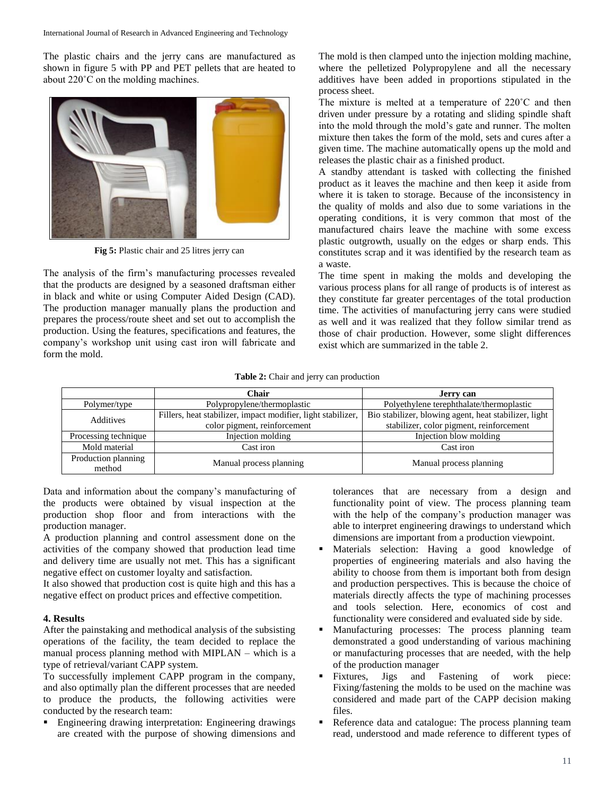The plastic chairs and the jerry cans are manufactured as shown in figure 5 with PP and PET pellets that are heated to about 220˚C on the molding machines.



**Fig 5:** Plastic chair and 25 litres jerry can

The analysis of the firm's manufacturing processes revealed that the products are designed by a seasoned draftsman either in black and white or using Computer Aided Design (CAD). The production manager manually plans the production and prepares the process/route sheet and set out to accomplish the production. Using the features, specifications and features, the company's workshop unit using cast iron will fabricate and form the mold.

The mold is then clamped unto the injection molding machine, where the pelletized Polypropylene and all the necessary additives have been added in proportions stipulated in the process sheet.

The mixture is melted at a temperature of 220˚C and then driven under pressure by a rotating and sliding spindle shaft into the mold through the mold's gate and runner. The molten mixture then takes the form of the mold, sets and cures after a given time. The machine automatically opens up the mold and releases the plastic chair as a finished product.

A standby attendant is tasked with collecting the finished product as it leaves the machine and then keep it aside from where it is taken to storage. Because of the inconsistency in the quality of molds and also due to some variations in the operating conditions, it is very common that most of the manufactured chairs leave the machine with some excess plastic outgrowth, usually on the edges or sharp ends. This constitutes scrap and it was identified by the research team as a waste.

The time spent in making the molds and developing the various process plans for all range of products is of interest as they constitute far greater percentages of the total production time. The activities of manufacturing jerry cans were studied as well and it was realized that they follow similar trend as those of chair production. However, some slight differences exist which are summarized in the table 2.

#### **Table 2:** Chair and jerry can production

|                               | Chair                                                                                        | Jerry can                                                                                         |
|-------------------------------|----------------------------------------------------------------------------------------------|---------------------------------------------------------------------------------------------------|
| Polymer/type                  | Polypropylene/thermoplastic                                                                  | Polyethylene terephthalate/thermoplastic                                                          |
| Additives                     | Fillers, heat stabilizer, impact modifier, light stabilizer,<br>color pigment, reinforcement | Bio stabilizer, blowing agent, heat stabilizer, light<br>stabilizer, color pigment, reinforcement |
| Processing technique          | Injection molding                                                                            | Injection blow molding                                                                            |
| Mold material                 | Cast iron                                                                                    | Cast iron                                                                                         |
| Production planning<br>method | Manual process planning                                                                      | Manual process planning                                                                           |

Data and information about the company's manufacturing of the products were obtained by visual inspection at the production shop floor and from interactions with the production manager.

A production planning and control assessment done on the activities of the company showed that production lead time and delivery time are usually not met. This has a significant negative effect on customer loyalty and satisfaction.

It also showed that production cost is quite high and this has a negative effect on product prices and effective competition.

## **4. Results**

After the painstaking and methodical analysis of the subsisting operations of the facility, the team decided to replace the manual process planning method with MIPLAN – which is a type of retrieval/variant CAPP system.

To successfully implement CAPP program in the company, and also optimally plan the different processes that are needed to produce the products, the following activities were conducted by the research team:

 Engineering drawing interpretation: Engineering drawings are created with the purpose of showing dimensions and

tolerances that are necessary from a design and functionality point of view. The process planning team with the help of the company's production manager was able to interpret engineering drawings to understand which dimensions are important from a production viewpoint.

- Materials selection: Having a good knowledge of properties of engineering materials and also having the ability to choose from them is important both from design and production perspectives. This is because the choice of materials directly affects the type of machining processes and tools selection. Here, economics of cost and functionality were considered and evaluated side by side.
- Manufacturing processes: The process planning team demonstrated a good understanding of various machining or manufacturing processes that are needed, with the help of the production manager
- Fixtures, Jigs and Fastening of work piece: Fixing/fastening the molds to be used on the machine was considered and made part of the CAPP decision making files.
- Reference data and catalogue: The process planning team read, understood and made reference to different types of